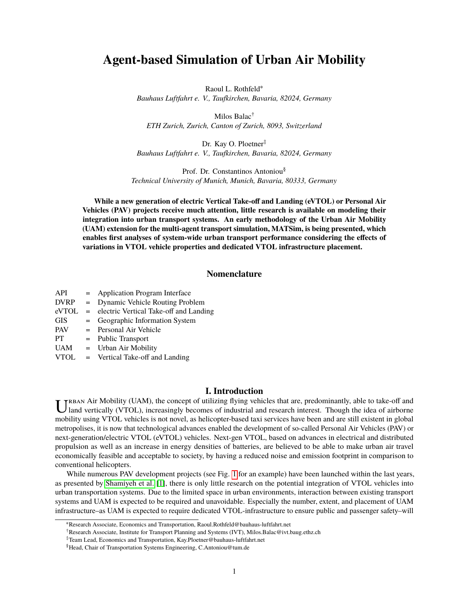# **Agent-based Simulation of Urban Air Mobility**

Raoul L. Rothfeld<sup>∗</sup> *Bauhaus Luftfahrt e. V., Taufkirchen, Bavaria, 82024, Germany*

Milos Balac† *ETH Zurich, Zurich, Canton of Zurich, 8093, Switzerland*

Dr. Kay O. Ploetner<sup>‡</sup> *Bauhaus Luftfahrt e. V., Taufkirchen, Bavaria, 82024, Germany*

Prof. Dr. Constantinos Antoniou§ *Technical University of Munich, Munich, Bavaria, 80333, Germany*

**While a new generation of electric Vertical Take-off and Landing (eVTOL) or Personal Air Vehicles (PAV) projects receive much attention, little research is available on modeling their integration into urban transport systems. An early methodology of the Urban Air Mobility (UAM) extension for the multi-agent transport simulation, MATSim, is being presented, which enables first analyses of system-wide urban transport performance considering the effects of variations in VTOL vehicle properties and dedicated VTOL infrastructure placement.**

# **Nomenclature**

| API         | = Application Program Interface                                                                                                                                                                                                                                                                                       |
|-------------|-----------------------------------------------------------------------------------------------------------------------------------------------------------------------------------------------------------------------------------------------------------------------------------------------------------------------|
| <b>DVRP</b> | = Dynamic Vehicle Routing Problem                                                                                                                                                                                                                                                                                     |
| eVTOL       | = electric Vertical Take-off and Landing                                                                                                                                                                                                                                                                              |
| <b>GIS</b>  | = Geographic Information System                                                                                                                                                                                                                                                                                       |
| PAV         | = Personal Air Vehicle                                                                                                                                                                                                                                                                                                |
| PT          | = Public Transport                                                                                                                                                                                                                                                                                                    |
| <b>UAM</b>  | $=$ Urban Air Mobility                                                                                                                                                                                                                                                                                                |
| 17TOT       | $\mathbf{Y}$ , $\mathbf{Y}$ , $\mathbf{Y}$ , $\mathbf{Y}$ , $\mathbf{Y}$ , $\mathbf{Y}$ , $\mathbf{Y}$ , $\mathbf{Y}$ , $\mathbf{Y}$ , $\mathbf{Y}$ , $\mathbf{Y}$ , $\mathbf{Y}$ , $\mathbf{Y}$ , $\mathbf{Y}$ , $\mathbf{Y}$ , $\mathbf{Y}$ , $\mathbf{Y}$ , $\mathbf{Y}$ , $\mathbf{Y}$ , $\mathbf{Y}$ , $\mathbf$ |

#### VTOL = Vertical Take-off and Landing

# **I. Introduction**

THE SECULE THE SECULE THE SECULE THE SECULE THE SECULE THAT SECULE THAT AND A SECULE THAT AND A SECULE THAT AND IN THE SECULE THAT AND IN THE SECULE THAT AND IN THE SECULE THAT AND THAT IS THAT AND THAT IS THAT AND THAT IS rban Air Mobility (UAM), the concept of utilizing flying vehicles that are, predominantly, able to take-off and mobility using VTOL vehicles is not novel, as helicopter-based taxi services have been and are still existent in global metropolises, it is now that technological advances enabled the development of so-called Personal Air Vehicles (PAV) or next-generation/electric VTOL (eVTOL) vehicles. Next-gen VTOL, based on advances in electrical and distributed propulsion as well as an increase in energy densities of batteries, are believed to be able to make urban air travel economically feasible and acceptable to society, by having a reduced noise and emission footprint in comparison to conventional helicopters.

While numerous PAV development projects (see Fig. [1](#page-1-0) for an example) have been launched within the last years, as presented by [Shamiyeh et al.](#page-9-0) [\[1\]](#page-9-0), there is only little research on the potential integration of VTOL vehicles into urban transportation systems. Due to the limited space in urban environments, interaction between existing transport systems and UAM is expected to be required and unavoidable. Especially the number, extent, and placement of UAM infrastructure–as UAM is expected to require dedicated VTOL-infrastructure to ensure public and passenger safety–will

<sup>∗</sup>Research Associate, Economics and Transportation, Raoul.Rothfeld@bauhaus-luftfahrt.net

<sup>†</sup>Research Associate, Institute for Transport Planning and Systems (IVT), Milos.Balac@ivt.baug.ethz.ch

<sup>‡</sup>Team Lead, Economics and Transportation, Kay.Ploetner@bauhaus-luftfahrt.net

<sup>§</sup>Head, Chair of Transportation Systems Engineering, C.Antoniou@tum.de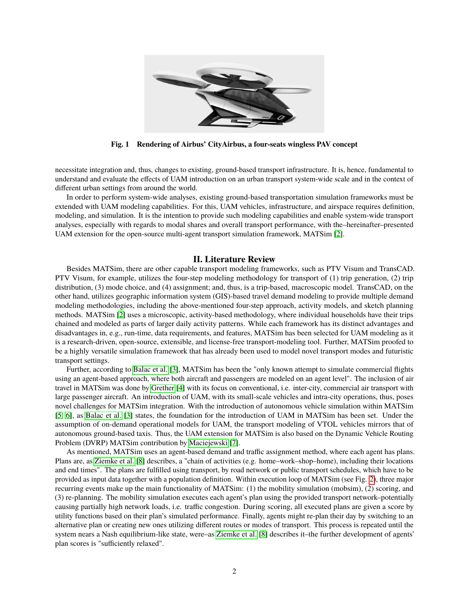<span id="page-1-0"></span>

**Fig. 1 Rendering of Airbus' CityAirbus, a four-seats wingless PAV concept**

necessitate integration and, thus, changes to existing, ground-based transport infrastructure. It is, hence, fundamental to understand and evaluate the effects of UAM introduction on an urban transport system-wide scale and in the context of different urban settings from around the world.

In order to perform system-wide analyses, existing ground-based transportation simulation frameworks must be extended with UAM modeling capabilities. For this, UAM vehicles, infrastructure, and airspace requires definition, modeling, and simulation. It is the intention to provide such modeling capabilities and enable system-wide transport analyses, especially with regards to modal shares and overall transport performance, with the–hereinafter–presented UAM extension for the open-source multi-agent transport simulation framework, MATSim [\[2\]](#page-9-1).

# **II. Literature Review**

Besides MATSim, there are other capable transport modeling frameworks, such as PTV Visum and TransCAD. PTV Visum, for example, utilizes the four-step modeling methodology for transport of (1) trip generation, (2) trip distribution, (3) mode choice, and (4) assignment; and, thus, is a trip-based, macroscopic model. TransCAD, on the other hand, utilizes geographic information system (GIS)-based travel demand modeling to provide multiple demand modeling methodologies, including the above-mentioned four-step approach, activity models, and sketch planning methods. MATSim [\[2\]](#page-9-1) uses a microscopic, activity-based methodology, where individual households have their trips chained and modeled as parts of larger daily activity patterns. While each framework has its distinct advantages and disadvantages in, e.g., run-time, data requirements, and features, MATSim has been selected for UAM modeling as it is a research-driven, open-source, extensible, and license-free transport-modeling tool. Further, MATSim proofed to be a highly versatile simulation framework that has already been used to model novel transport modes and futuristic transport settings.

Further, according to [Balac et al.](#page-9-2) [\[3\]](#page-9-2), MATSim has been the "only known attempt to simulate commercial flights using an agent-based approach, where both aircraft and passengers are modeled on an agent level". The inclusion of air travel in MATSim was done by [Grether](#page-9-3) [\[4\]](#page-9-3) with its focus on conventional, i.e. inter-city, commercial air transport with large passenger aircraft. An introduction of UAM, with its small-scale vehicles and intra-city operations, thus, poses novel challenges for MATSim integration. With the introduction of autonomous vehicle simulation within MATSim [\[5,](#page-9-4) [6\]](#page-9-5), as [Balac et al.](#page-9-2) [\[3\]](#page-9-2) states, the foundation for the introduction of UAM in MATSim has been set. Under the assumption of on-demand operational models for UAM, the transport modeling of VTOL vehicles mirrors that of autonomous ground-based taxis. Thus, the UAM extension for MATSim is also based on the Dynamic Vehicle Routing Problem (DVRP) MATSim contribution by [Maciejewski](#page-9-6) [\[7\]](#page-9-6).

As mentioned, MATSim uses an agent-based demand and traffic assignment method, where each agent has plans. Plans are, as [Ziemke et al.](#page-9-7) [\[8\]](#page-9-7) describes, a "chain of activities (e.g. home–work–shop–home), including their locations and end times". The plans are fulfilled using transport, by road network or public transport schedules, which have to be provided as input data together with a population definition. Within execution loop of MATSim (see Fig. [2\)](#page-2-0), three major recurring events make up the main functionality of MATSim: (1) the mobility simulation (mobsim), (2) scoring, and (3) re-planning. The mobility simulation executes each agent's plan using the provided transport network–potentially causing partially high network loads, i.e. traffic congestion. During scoring, all executed plans are given a score by utility functions based on their plan's simulated performance. Finally, agents might re-plan their day by switching to an alternative plan or creating new ones utilizing different routes or modes of transport. This process is repeated until the system nears a Nash equilibrium-like state, were–as [Ziemke et al.](#page-9-7) [\[8\]](#page-9-7) describes it–the further development of agents' plan scores is "sufficiently relaxed".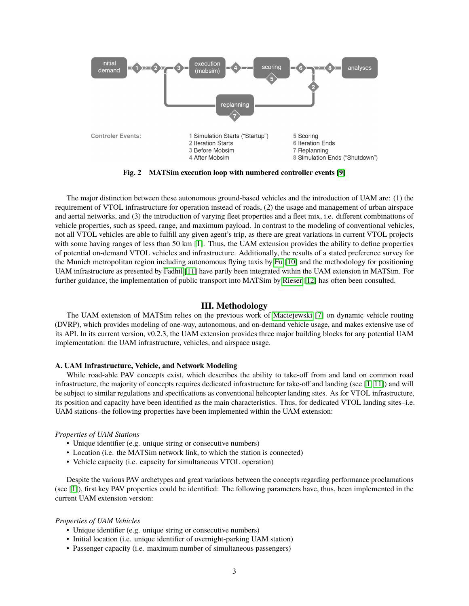<span id="page-2-0"></span>

**Fig. 2 MATSim execution loop with numbered controller events [\[9\]](#page-9-8)**

The major distinction between these autonomous ground-based vehicles and the introduction of UAM are: (1) the requirement of VTOL infrastructure for operation instead of roads, (2) the usage and management of urban airspace and aerial networks, and (3) the introduction of varying fleet properties and a fleet mix, i.e. different combinations of vehicle properties, such as speed, range, and maximum payload. In contrast to the modeling of conventional vehicles, not all VTOL vehicles are able to fulfill any given agent's trip, as there are great variations in current VTOL projects with some having ranges of less than 50 km [\[1\]](#page-9-0). Thus, the UAM extension provides the ability to define properties of potential on-demand VTOL vehicles and infrastructure. Additionally, the results of a stated preference survey for the Munich metropolitan region including autonomous flying taxis by [Fu](#page-9-9) [\[10\]](#page-9-9) and the methodology for positioning UAM infrastructure as presented by [Fadhil](#page-9-10) [\[11\]](#page-9-10) have partly been integrated within the UAM extension in MATSim. For further guidance, the implementation of public transport into MATSim by [Rieser](#page-9-11) [\[12\]](#page-9-11) has often been consulted.

# **III. Methodology**

The UAM extension of MATSim relies on the previous work of [Maciejewski](#page-9-6) [\[7\]](#page-9-6) on dynamic vehicle routing (DVRP), which provides modeling of one-way, autonomous, and on-demand vehicle usage, and makes extensive use of its API. In its current version, v0.2.3, the UAM extension provides three major building blocks for any potential UAM implementation: the UAM infrastructure, vehicles, and airspace usage.

#### <span id="page-2-1"></span>**A. UAM Infrastructure, Vehicle, and Network Modeling**

While road-able PAV concepts exist, which describes the ability to take-off from and land on common road infrastructure, the majority of concepts requires dedicated infrastructure for take-off and landing (see  $[1, 11]$  $[1, 11]$  $[1, 11]$ ) and will be subject to similar regulations and specifications as conventional helicopter landing sites. As for VTOL infrastructure, its position and capacity have been identified as the main characteristics. Thus, for dedicated VTOL landing sites–i.e. UAM stations–the following properties have been implemented within the UAM extension:

#### *Properties of UAM Stations*

- Unique identifier (e.g. unique string or consecutive numbers)
- Location (i.e. the MATSim network link, to which the station is connected)
- Vehicle capacity (i.e. capacity for simultaneous VTOL operation)

Despite the various PAV archetypes and great variations between the concepts regarding performance proclamations (see [\[1\]](#page-9-0)), first key PAV properties could be identified: The following parameters have, thus, been implemented in the current UAM extension version:

#### *Properties of UAM Vehicles*

- Unique identifier (e.g. unique string or consecutive numbers)
- Initial location (i.e. unique identifier of overnight-parking UAM station)
- Passenger capacity (i.e. maximum number of simultaneous passengers)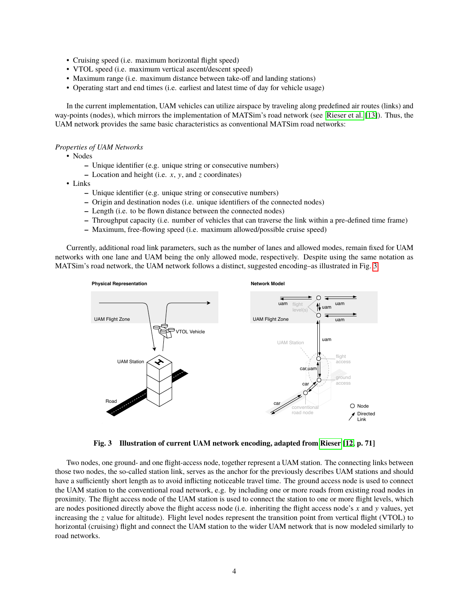- Cruising speed (i.e. maximum horizontal flight speed)
- VTOL speed (i.e. maximum vertical ascent/descent speed)
- Maximum range (i.e. maximum distance between take-off and landing stations)
- Operating start and end times (i.e. earliest and latest time of day for vehicle usage)

In the current implementation, UAM vehicles can utilize airspace by traveling along predefined air routes (links) and way-points (nodes), which mirrors the implementation of MATSim's road network (see [Rieser et al.](#page-9-12) [\[13\]](#page-9-12)). Thus, the UAM network provides the same basic characteristics as conventional MATSim road networks:

### *Properties of UAM Networks*

- Nodes
	- **–** Unique identifier (e.g. unique string or consecutive numbers)
	- **–** Location and height (i.e. *x*, y, and *z* coordinates)
- Links
	- **–** Unique identifier (e.g. unique string or consecutive numbers)
	- **–** Origin and destination nodes (i.e. unique identifiers of the connected nodes)
	- **–** Length (i.e. to be flown distance between the connected nodes)
	- **–** Throughput capacity (i.e. number of vehicles that can traverse the link within a pre-defined time frame)
	- **–** Maximum, free-flowing speed (i.e. maximum allowed/possible cruise speed)

Currently, additional road link parameters, such as the number of lanes and allowed modes, remain fixed for UAM networks with one lane and UAM being the only allowed mode, respectively. Despite using the same notation as MATSim's road network, the UAM network follows a distinct, suggested encoding–as illustrated in Fig. [3.](#page-3-0)

<span id="page-3-0"></span>

**Fig. 3 Illustration of current UAM network encoding, adapted from [Rieser](#page-9-11) [\[12,](#page-9-11) p. 71]**

Two nodes, one ground- and one flight-access node, together represent a UAM station. The connecting links between those two nodes, the so-called station link, serves as the anchor for the previously describes UAM stations and should have a sufficiently short length as to avoid inflicting noticeable travel time. The ground access node is used to connect the UAM station to the conventional road network, e.g. by including one or more roads from existing road nodes in proximity. The flight access node of the UAM station is used to connect the station to one or more flight levels, which are nodes positioned directly above the flight access node (i.e. inheriting the flight access node's *x* and y values, yet increasing the *z* value for altitude). Flight level nodes represent the transition point from vertical flight (VTOL) to horizontal (cruising) flight and connect the UAM station to the wider UAM network that is now modeled similarly to road networks.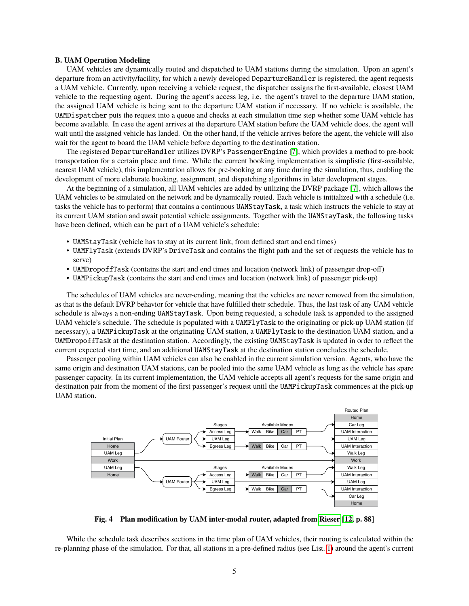#### **B. UAM Operation Modeling**

UAM vehicles are dynamically routed and dispatched to UAM stations during the simulation. Upon an agent's departure from an activity/facility, for which a newly developed DepartureHandler is registered, the agent requests a UAM vehicle. Currently, upon receiving a vehicle request, the dispatcher assigns the first-available, closest UAM vehicle to the requesting agent. During the agent's access leg, i.e. the agent's travel to the departure UAM station, the assigned UAM vehicle is being sent to the departure UAM station if necessary. If no vehicle is available, the UAMDispatcher puts the request into a queue and checks at each simulation time step whether some UAM vehicle has become available. In case the agent arrives at the departure UAM station before the UAM vehicle does, the agent will wait until the assigned vehicle has landed. On the other hand, if the vehicle arrives before the agent, the vehicle will also wait for the agent to board the UAM vehicle before departing to the destination station.

The registered DepartureHandler utilizes DVRP's PassengerEngine [\[7\]](#page-9-6), which provides a method to pre-book transportation for a certain place and time. While the current booking implementation is simplistic (first-available, nearest UAM vehicle), this implementation allows for pre-booking at any time during the simulation, thus, enabling the development of more elaborate booking, assignment, and dispatching algorithms in later development stages.

At the beginning of a simulation, all UAM vehicles are added by utilizing the DVRP package [\[7\]](#page-9-6), which allows the UAM vehicles to be simulated on the network and be dynamically routed. Each vehicle is initialized with a schedule (i.e. tasks the vehicle has to perform) that contains a continuous UAMStayTask, a task which instructs the vehicle to stay at its current UAM station and await potential vehicle assignments. Together with the UAMStayTask, the following tasks have been defined, which can be part of a UAM vehicle's schedule:

- UAMStayTask (vehicle has to stay at its current link, from defined start and end times)
- UAMFlyTask (extends DVRP's DriveTask and contains the flight path and the set of requests the vehicle has to serve)
- UAMDropoffTask (contains the start and end times and location (network link) of passenger drop-off)
- UAMPickupTask (contains the start and end times and location (network link) of passenger pick-up)

The schedules of UAM vehicles are never-ending, meaning that the vehicles are never removed from the simulation, as that is the default DVRP behavior for vehicle that have fulfilled their schedule. Thus, the last task of any UAM vehicle schedule is always a non-ending UAMStayTask. Upon being requested, a schedule task is appended to the assigned UAM vehicle's schedule. The schedule is populated with a UAMFlyTask to the originating or pick-up UAM station (if necessary), a UAMPickupTask at the originating UAM station, a UAMFlyTask to the destination UAM station, and a UAMDropoffTask at the destination station. Accordingly, the existing UAMStayTask is updated in order to reflect the current expected start time, and an additional UAMStayTask at the destination station concludes the schedule.

Passenger pooling within UAM vehicles can also be enabled in the current simulation version. Agents, who have the same origin and destination UAM stations, can be pooled into the same UAM vehicle as long as the vehicle has spare passenger capacity. In its current implementation, the UAM vehicle accepts all agent's requests for the same origin and destination pair from the moment of the first passenger's request until the UAMPickupTask commences at the pick-up UAM station.

<span id="page-4-0"></span>

**Fig. 4 Plan modification by UAM inter-modal router, adapted from [Rieser](#page-9-11) [\[12,](#page-9-11) p. 88]**

While the schedule task describes sections in the time plan of UAM vehicles, their routing is calculated within the re-planning phase of the simulation. For that, all stations in a pre-defined radius (see List. [1\)](#page-5-0) around the agent's current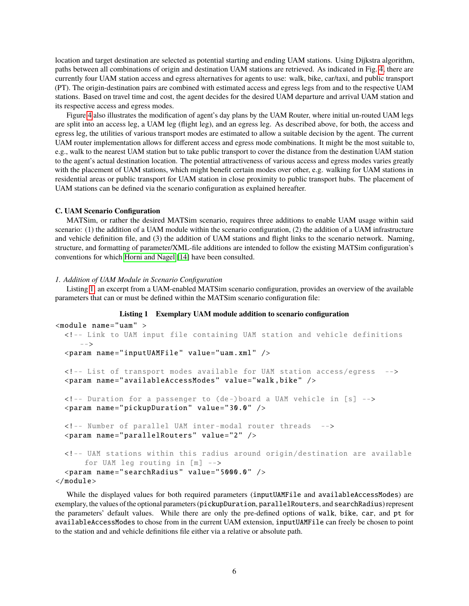location and target destination are selected as potential starting and ending UAM stations. Using Dijkstra algorithm, paths between all combinations of origin and destination UAM stations are retrieved. As indicated in Fig. [4,](#page-4-0) there are currently four UAM station access and egress alternatives for agents to use: walk, bike, car/taxi, and public transport (PT). The origin-destination pairs are combined with estimated access and egress legs from and to the respective UAM stations. Based on travel time and cost, the agent decides for the desired UAM departure and arrival UAM station and its respective access and egress modes.

Figure [4](#page-4-0) also illustrates the modification of agent's day plans by the UAM Router, where initial un-routed UAM legs are split into an access leg, a UAM leg (flight leg), and an egress leg. As described above, for both, the access and egress leg, the utilities of various transport modes are estimated to allow a suitable decision by the agent. The current UAM router implementation allows for different access and egress mode combinations. It might be the most suitable to, e.g., walk to the nearest UAM station but to take public transport to cover the distance from the destination UAM station to the agent's actual destination location. The potential attractiveness of various access and egress modes varies greatly with the placement of UAM stations, which might benefit certain modes over other, e.g. walking for UAM stations in residential areas or public transport for UAM station in close proximity to public transport hubs. The placement of UAM stations can be defined via the scenario configuration as explained hereafter.

#### **C. UAM Scenario Configuration**

MATSim, or rather the desired MATSim scenario, requires three additions to enable UAM usage within said scenario: (1) the addition of a UAM module within the scenario configuration, (2) the addition of a UAM infrastructure and vehicle definition file, and (3) the addition of UAM stations and flight links to the scenario network. Naming, structure, and formatting of parameter/XML-file additions are intended to follow the existing MATSim configuration's conventions for which [Horni and Nagel](#page-9-13) [\[14\]](#page-9-13) have been consulted.

#### *1. Addition of UAM Module in Scenario Configuration*

Listing [1,](#page-5-0) an excerpt from a UAM-enabled MATSim scenario configuration, provides an overview of the available parameters that can or must be defined within the MATSim scenario configuration file:

#### **Listing 1 Exemplary UAM module addition to scenario configuration**

```
<module name="uam" >
 <!-- Link to UAM input file containing UAM station and vehicle definitions
     --&><param name=" inputUAMFile " value="uam.xml" />
 <!-- List of transport modes available for UAM station access/egress -->
  <param name=" availableAccessModes " value="walk ,bike" />
 <!-- Duration for a passenger to (de-)board a UAM vehicle in [s] -->
  <param name=" pickupDuration " value="30.0" />
 <!-- Number of parallel UAM inter -modal router threads -->
 <param name=" parallelRouters " value="2" />
 <!-- UAM stations within this radius around origin/destination are available
      for UAM leg routing in [m] -->
  <param name=" searchRadius " value="5000.0" />
</module>
```
While the displayed values for both required parameters (inputUAMFile and availableAccessModes) are exemplary, the values of the optional parameters (pickupDuration, parallelRouters, and searchRadius) represent the parameters' default values. While there are only the pre-defined options of walk, bike, car, and pt for availableAccessModes to chose from in the current UAM extension, inputUAMFile can freely be chosen to point to the station and and vehicle definitions file either via a relative or absolute path.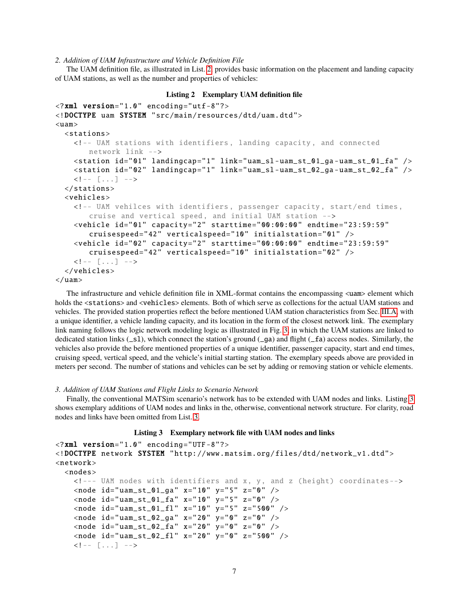*2. Addition of UAM Infrastructure and Vehicle Definition File*

The UAM definition file, as illustrated in List. [2,](#page-6-0) provides basic information on the placement and landing capacity of UAM stations, as well as the number and properties of vehicles:

```
Listing 2 Exemplary UAM definition file
\langle?xml version="1.0" encoding="utf-8"?>
<!DOCTYPE uam SYSTEM "src/main/ resources /dtd/uam.dtd">
<sub>uam></sub></sub>
  <stations><!-- UAM stations with identifiers , landing capacity , and connected
        network link -->
    \lestation id="01" landingcap="1" link="uam_sl-uam_st_01_ga-uam_st_01_fa" />
    <station id="02" landingcap="1" link="uam_sl-uam_st_02_ga-uam_st_02_fa" />
    \langle!-- [...] -->
  </stations >
  <vehicles >
    <!-- UAM vehilces with identifiers , passenger capacity , start/end times ,
        cruise and vertical speed , and initial UAM station -->
    <vehicle id="01" capacity="2" starttime="00:00:00" endtime="23:59:59"
        cruisespeed="42" verticalspeed="10" initialstation="01" />
    <vehicle id="02" capacity ="2" starttime ="00 :00:00" endtime="23 :59:59"
        cruisespeed="42" verticalspeed="10" initialstation="02" />
    \langle \cdot | - - | \cdot | \cdot | - - \rangle</vehicles >
\langle/uam\rangle
```
The infrastructure and vehicle definition file in XML-format contains the encompassing  $\langle$ uam> element which holds the <stations> and <vehicles> elements. Both of which serve as collections for the actual UAM stations and vehicles. The provided station properties reflect the before mentioned UAM station characteristics from Sec. [III.A,](#page-2-1) with a unique identifier, a vehicle landing capacity, and its location in the form of the closest network link. The exemplary link naming follows the logic network modeling logic as illustrated in Fig. [3,](#page-3-0) in which the UAM stations are linked to dedicated station links  $(\text{-}sl)$ , which connect the station's ground  $(\text{-}ga)$  and flight  $(\text{-}fa)$  access nodes. Similarly, the vehicles also provide the before mentioned properties of a unique identifier, passenger capacity, start and end times, cruising speed, vertical speed, and the vehicle's initial starting station. The exemplary speeds above are provided in meters per second. The number of stations and vehicles can be set by adding or removing station or vehicle elements.

#### *3. Addition of UAM Stations and Flight Links to Scenario Network*

Finally, the conventional MATSim scenario's network has to be extended with UAM nodes and links. Listing [3](#page-6-1) shows exemplary additions of UAM nodes and links in the, otherwise, conventional network structure. For clarity, road nodes and links have been omitted from List. [3.](#page-6-1)

## **Listing 3 Exemplary network file with UAM nodes and links**

```
<?xml version="1.0" encoding="UTF -8"?>
<!DOCTYPE network SYSTEM "http: // www.matsim.org/files/dtd/ network_v1 .dtd">
<network><nodes >
    <!--- UAM nodes with identifiers and x, y, and z (height) coordinates-->
    \langlenode id="uam_st_01_ga" x="10" y="5" z="0" />
    <node id=" uam_st_01_fa " x="10" y="5" z="0" />
    \langlenode id="uam_st_01_fl" x="10" y="5" z="500" />
    <node id=" uam_st_02_ga " x="20" y="0" z="0" />
    <node id=" uam_st_02_fa " x="20" y="0" z="0" />
    \langlenode id="uam_st_02_fl" x="20" y="0" z="500" />
    \langle!-- [...] -->
```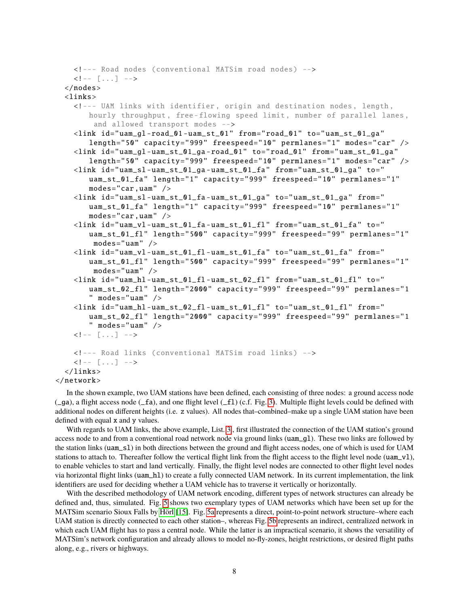```
<!--- Road nodes (conventional MATSim road nodes) -->
    \langle!-- [...] -->
  </nodes >
  <links><!--- UAM links with identifier , origin and destination nodes , length ,
       hourly throughput, free-flowing speed limit, number of parallel lanes,
        and allowed transport modes -->
    <link id="uam_gl -road_01 - uam_st_01 " from="road_01" to=" uam_st_01_ga "
       length="50" capacity="999" freespeed="10" permlanes="1" modes="car" />
    <link id="uam_gl -uam_st_01_ga -road_01" to="road_01" from=" uam_st_01_ga "
       length="50" capacity="999" freespeed="10" permlanes="1" modes="car" />
    <link id="uam_sl -uam_st_01_ga - uam_st_01_fa " from=" uam_st_01_ga " to="
       uam_st_01_fa" length="1" capacity="999" freespeed="10" permlanes="1"
       modes="car, uam" />
    <link id="uam_sl -uam_st_01_fa - uam_st_01_ga " to=" uam_st_01_ga " from="
       uam_st_01_fa" length="1" capacity="999" freespeed="10" permlanes="1"
       modes="car ,uam" />
    <link id="uam_vl -uam_st_01_fa - uam_st_01_fl " from=" uam_st_01_fa " to="
       uam_st_01_fl" length="500" capacity="999" freespeed="99" permlanes="1"
        modes="uam" />
    <link id="uam_vl -uam_st_01_fl - uam_st_01_fa " to=" uam_st_01_fa " from="
       uam_st_01_fl" length="500" capacity="999" freespeed="99" permlanes="1"
        modes="uam" />
    \langlelink id="uam_hl-uam_st_01_fl-uam_st_02_fl" from="uam_st_01_fl" to="
       uam_st_02_fl" length="2000" capacity="999" freespeed="99" permlanes="1
       " modes="uam" /\langlelink id="uam_hl-uam_st_02_fl-uam_st_01_fl" to="uam_st_01_fl" from="
       uam_st_02_fl" length="2000" capacity="999" freespeed="99" permlanes="1
       " modes="uam" /\langle!-- [...] -->
    <!--- Road links (conventional MATSim road links) -->
    \langle!-- [...] -->
  \langle/links>
\langle/network>
```
In the shown example, two UAM stations have been defined, each consisting of three nodes: a ground access node (\_ga), a flight access node (\_fa), and one flight level (\_fl) (c.f. Fig. [3\)](#page-3-0). Multiple flight levels could be defined with additional nodes on different heights (i.e. z values). All nodes that–combined–make up a single UAM station have been defined with equal x and y values.

With regards to UAM links, the above example, List. [3.](#page-6-1), first illustrated the connection of the UAM station's ground access node to and from a conventional road network node via ground links (uam\_gl). These two links are followed by the station links (uam\_sl) in both directions between the ground and flight access nodes, one of which is used for UAM stations to attach to. Thereafter follow the vertical flight link from the flight access to the flight level node ( $\text{uam_v1}$ ), to enable vehicles to start and land vertically. Finally, the flight level nodes are connected to other flight level nodes via horizontal flight links (uam\_hl) to create a fully connected UAM network. In its current implementation, the link identifiers are used for deciding whether a UAM vehicle has to traverse it vertically or horizontally.

With the described methodology of UAM network encoding, different types of network structures can already be defined and, thus, simulated. Fig. [5](#page-8-0) shows two exemplary types of UAM networks which have been set up for the MATSim scenario Sioux Falls by [Hörl](#page-9-14) [\[15\]](#page-9-14). Fig. [5a](#page-8-0) represents a direct, point-to-point network structure–where each UAM station is directly connected to each other station–, whereas Fig. [5b](#page-8-0) represents an indirect, centralized network in which each UAM flight has to pass a central node. While the latter is an impractical scenario, it shows the versatility of MATSim's network configuration and already allows to model no-fly-zones, height restrictions, or desired flight paths along, e.g., rivers or highways.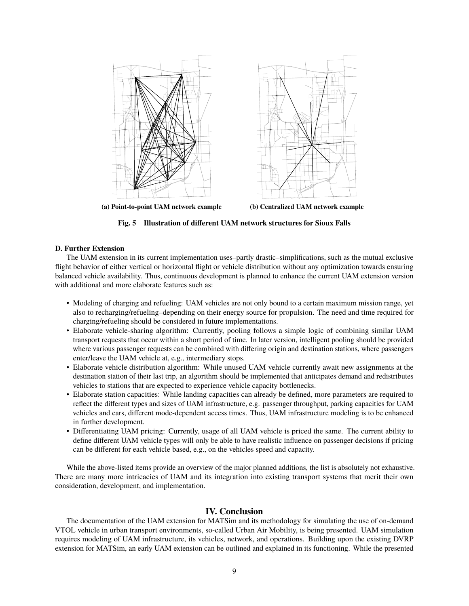<span id="page-8-0"></span>

**Fig. 5 Illustration of different UAM network structures for Sioux Falls**

### **D. Further Extension**

The UAM extension in its current implementation uses–partly drastic–simplifications, such as the mutual exclusive flight behavior of either vertical or horizontal flight or vehicle distribution without any optimization towards ensuring balanced vehicle availability. Thus, continuous development is planned to enhance the current UAM extension version with additional and more elaborate features such as:

- Modeling of charging and refueling: UAM vehicles are not only bound to a certain maximum mission range, yet also to recharging/refueling–depending on their energy source for propulsion. The need and time required for charging/refueling should be considered in future implementations.
- Elaborate vehicle-sharing algorithm: Currently, pooling follows a simple logic of combining similar UAM transport requests that occur within a short period of time. In later version, intelligent pooling should be provided where various passenger requests can be combined with differing origin and destination stations, where passengers enter/leave the UAM vehicle at, e.g., intermediary stops.
- Elaborate vehicle distribution algorithm: While unused UAM vehicle currently await new assignments at the destination station of their last trip, an algorithm should be implemented that anticipates demand and redistributes vehicles to stations that are expected to experience vehicle capacity bottlenecks.
- Elaborate station capacities: While landing capacities can already be defined, more parameters are required to reflect the different types and sizes of UAM infrastructure, e.g. passenger throughput, parking capacities for UAM vehicles and cars, different mode-dependent access times. Thus, UAM infrastructure modeling is to be enhanced in further development.
- Differentiating UAM pricing: Currently, usage of all UAM vehicle is priced the same. The current ability to define different UAM vehicle types will only be able to have realistic influence on passenger decisions if pricing can be different for each vehicle based, e.g., on the vehicles speed and capacity.

While the above-listed items provide an overview of the major planned additions, the list is absolutely not exhaustive. There are many more intricacies of UAM and its integration into existing transport systems that merit their own consideration, development, and implementation.

# **IV. Conclusion**

The documentation of the UAM extension for MATSim and its methodology for simulating the use of on-demand VTOL vehicle in urban transport environments, so-called Urban Air Mobility, is being presented. UAM simulation requires modeling of UAM infrastructure, its vehicles, network, and operations. Building upon the existing DVRP extension for MATSim, an early UAM extension can be outlined and explained in its functioning. While the presented